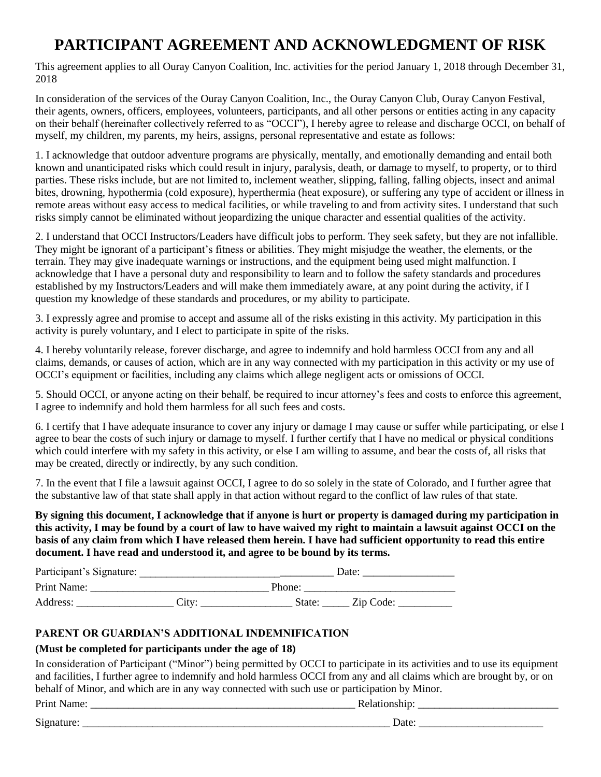## **PARTICIPANT AGREEMENT AND ACKNOWLEDGMENT OF RISK**

This agreement applies to all Ouray Canyon Coalition, Inc. activities for the period January 1, 2018 through December 31, 2018

In consideration of the services of the Ouray Canyon Coalition, Inc., the Ouray Canyon Club, Ouray Canyon Festival, their agents, owners, officers, employees, volunteers, participants, and all other persons or entities acting in any capacity on their behalf (hereinafter collectively referred to as "OCCI"), I hereby agree to release and discharge OCCI, on behalf of myself, my children, my parents, my heirs, assigns, personal representative and estate as follows:

1. I acknowledge that outdoor adventure programs are physically, mentally, and emotionally demanding and entail both known and unanticipated risks which could result in injury, paralysis, death, or damage to myself, to property, or to third parties. These risks include, but are not limited to, inclement weather, slipping, falling, falling objects, insect and animal bites, drowning, hypothermia (cold exposure), hyperthermia (heat exposure), or suffering any type of accident or illness in remote areas without easy access to medical facilities, or while traveling to and from activity sites. I understand that such risks simply cannot be eliminated without jeopardizing the unique character and essential qualities of the activity.

2. I understand that OCCI Instructors/Leaders have difficult jobs to perform. They seek safety, but they are not infallible. They might be ignorant of a participant's fitness or abilities. They might misjudge the weather, the elements, or the terrain. They may give inadequate warnings or instructions, and the equipment being used might malfunction. I acknowledge that I have a personal duty and responsibility to learn and to follow the safety standards and procedures established by my Instructors/Leaders and will make them immediately aware, at any point during the activity, if I question my knowledge of these standards and procedures, or my ability to participate.

3. I expressly agree and promise to accept and assume all of the risks existing in this activity. My participation in this activity is purely voluntary, and I elect to participate in spite of the risks.

4. I hereby voluntarily release, forever discharge, and agree to indemnify and hold harmless OCCI from any and all claims, demands, or causes of action, which are in any way connected with my participation in this activity or my use of OCCI's equipment or facilities, including any claims which allege negligent acts or omissions of OCCI.

5. Should OCCI, or anyone acting on their behalf, be required to incur attorney's fees and costs to enforce this agreement, I agree to indemnify and hold them harmless for all such fees and costs.

6. I certify that I have adequate insurance to cover any injury or damage I may cause or suffer while participating, or else I agree to bear the costs of such injury or damage to myself. I further certify that I have no medical or physical conditions which could interfere with my safety in this activity, or else I am willing to assume, and bear the costs of, all risks that may be created, directly or indirectly, by any such condition.

7. In the event that I file a lawsuit against OCCI, I agree to do so solely in the state of Colorado, and I further agree that the substantive law of that state shall apply in that action without regard to the conflict of law rules of that state.

**By signing this document, I acknowledge that if anyone is hurt or property is damaged during my participation in this activity, I may be found by a court of law to have waived my right to maintain a lawsuit against OCCI on the basis of any claim from which I have released them herein. I have had sufficient opportunity to read this entire document. I have read and understood it, and agree to be bound by its terms.**

| Participant's Signature: |      |        | Date:     |  |
|--------------------------|------|--------|-----------|--|
| Print Name:              |      | Phone: |           |  |
| Address:                 | City | State: | Zip Code: |  |

## **PARENT OR GUARDIAN'S ADDITIONAL INDEMNIFICATION**

## **(Must be completed for participants under the age of 18)**

In consideration of Participant ("Minor") being permitted by OCCI to participate in its activities and to use its equipment and facilities, I further agree to indemnify and hold harmless OCCI from any and all claims which are brought by, or on behalf of Minor, and which are in any way connected with such use or participation by Minor.

| Print<br>vame. | .<br>ĸ<br>л ат |  |
|----------------|----------------|--|
|                |                |  |

 $Signature:$   $\Box$